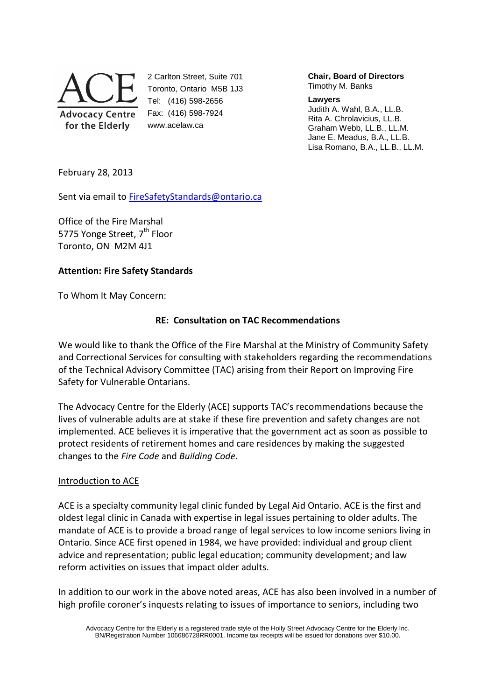

2 Carlton Street, Suite 701 Toronto, Ontario M5B 1J3 Tel: (416) 598-2656 Fax: (416) 598-7924 www.acelaw.ca

**Chair, Board of Directors** Timothy M. Banks

#### **Lawyers**

Judith A. Wahl, B.A., LL.B. Rita A. Chrolavicius, LL.B. Graham Webb, LL.B., LL.M. Jane E. Meadus, B.A., LL.B. Lisa Romano, B.A., LL.B., LL.M.

February 28, 2013

Sent via email to FireSafetyStandards@ontario.ca

Office of the Fire Marshal 5775 Yonge Street, 7<sup>th</sup> Floor Toronto, ON M2M 4J1

# **Attention: Fire Safety Standards**

To Whom It May Concern:

# **RE: Consultation on TAC Recommendations**

We would like to thank the Office of the Fire Marshal at the Ministry of Community Safety and Correctional Services for consulting with stakeholders regarding the recommendations of the Technical Advisory Committee (TAC) arising from their Report on Improving Fire Safety for Vulnerable Ontarians.

The Advocacy Centre for the Elderly (ACE) supports TAC's recommendations because the lives of vulnerable adults are at stake if these fire prevention and safety changes are not implemented. ACE believes it is imperative that the government act as soon as possible to protect residents of retirement homes and care residences by making the suggested changes to the *Fire Code* and *Building Code*.

### Introduction to ACE

ACE is a specialty community legal clinic funded by Legal Aid Ontario. ACE is the first and oldest legal clinic in Canada with expertise in legal issues pertaining to older adults. The mandate of ACE is to provide a broad range of legal services to low income seniors living in Ontario. Since ACE first opened in 1984, we have provided: individual and group client advice and representation; public legal education; community development; and law reform activities on issues that impact older adults.

In addition to our work in the above noted areas, ACE has also been involved in a number of high profile coroner's inquests relating to issues of importance to seniors, including two

Advocacy Centre for the Elderly is a registered trade style of the Holly Street Advocacy Centre for the Elderly Inc. BN/Registration Number 106686728RR0001. Income tax receipts will be issued for donations over \$10.00.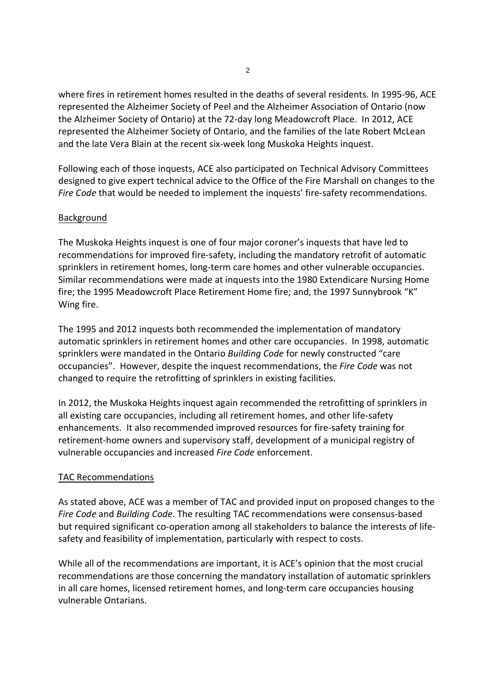where fires in retirement homes resulted in the deaths of several residents. In 1995-96, ACE represented the Alzheimer Society of Peel and the Alzheimer Association of Ontario (now the Alzheimer Society of Ontario) at the 72-day long Meadowcroft Place. In 2012, ACE represented the Alzheimer Society of Ontario, and the families of the late Robert McLean and the late Vera Blain at the recent six-week long Muskoka Heights inquest.

Following each of those inquests, ACE also participated on Technical Advisory Committees designed to give expert technical advice to the Office of the Fire Marshall on changes to the *Fire Code* that would be needed to implement the inquests' fire-safety recommendations.

# Background

The Muskoka Heights inquest is one of four major coroner's inquests that have led to recommendations for improved fire-safety, including the mandatory retrofit of automatic sprinklers in retirement homes, long-term care homes and other vulnerable occupancies. Similar recommendations were made at inquests into the 1980 Extendicare Nursing Home fire; the 1995 Meadowcroft Place Retirement Home fire; and, the 1997 Sunnybrook "K" Wing fire.

The 1995 and 2012 inquests both recommended the implementation of mandatory automatic sprinklers in retirement homes and other care occupancies. In 1998, automatic sprinklers were mandated in the Ontario *Building Code* for newly constructed "care occupancies". However, despite the inquest recommendations, the *Fire Code* was not changed to require the retrofitting of sprinklers in existing facilities.

In 2012, the Muskoka Heights inquest again recommended the retrofitting of sprinklers in all existing care occupancies, including all retirement homes, and other life-safety enhancements. It also recommended improved resources for fire-safety training for retirement-home owners and supervisory staff, development of a municipal registry of vulnerable occupancies and increased *Fire Code* enforcement.

### TAC Recommendations

As stated above, ACE was a member of TAC and provided input on proposed changes to the *Fire Code* and *Building Code*. The resulting TAC recommendations were consensus-based but required significant co-operation among all stakeholders to balance the interests of lifesafety and feasibility of implementation, particularly with respect to costs.

While all of the recommendations are important, it is ACE's opinion that the most crucial recommendations are those concerning the mandatory installation of automatic sprinklers in all care homes, licensed retirement homes, and long-term care occupancies housing vulnerable Ontarians.